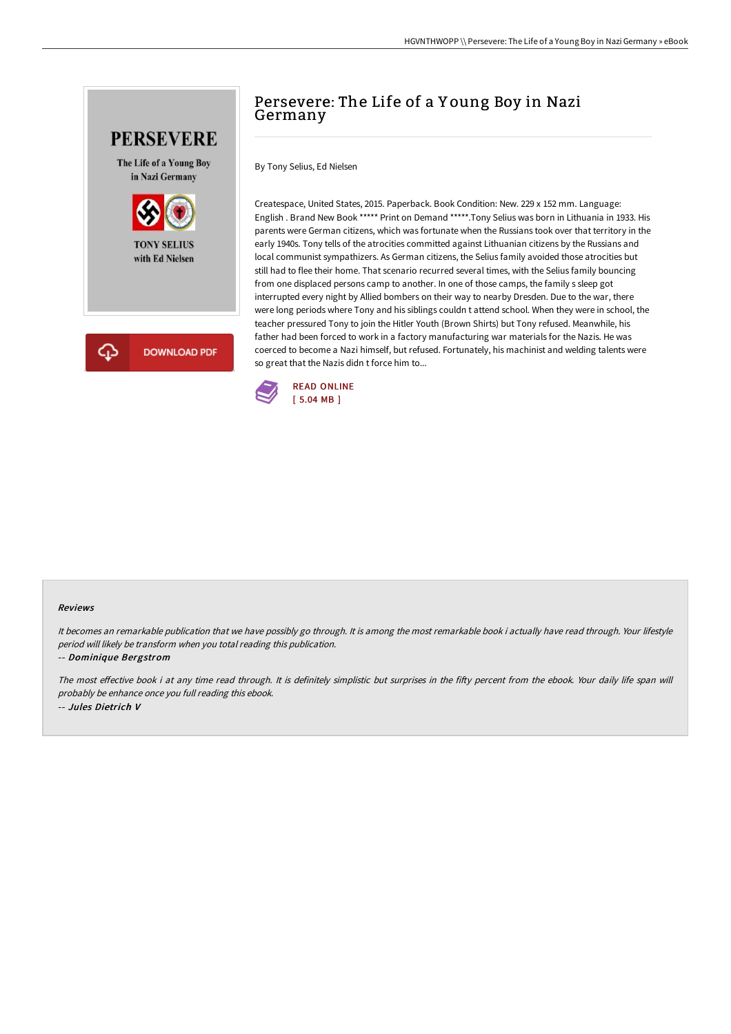

# Persevere: The Life of a Y oung Boy in Nazi Germany

By Tony Selius, Ed Nielsen

Createspace, United States, 2015. Paperback. Book Condition: New. 229 x 152 mm. Language: English . Brand New Book \*\*\*\*\* Print on Demand \*\*\*\*\*.Tony Selius was born in Lithuania in 1933. His parents were German citizens, which was fortunate when the Russians took over that territory in the early 1940s. Tony tells of the atrocities committed against Lithuanian citizens by the Russians and local communist sympathizers. As German citizens, the Selius family avoided those atrocities but still had to flee their home. That scenario recurred several times, with the Selius family bouncing from one displaced persons camp to another. In one of those camps, the family s sleep got interrupted every night by Allied bombers on their way to nearby Dresden. Due to the war, there were long periods where Tony and his siblings couldn t attend school. When they were in school, the teacher pressured Tony to join the Hitler Youth (Brown Shirts) but Tony refused. Meanwhile, his father had been forced to work in a factory manufacturing war materials for the Nazis. He was coerced to become a Nazi himself, but refused. Fortunately, his machinist and welding talents were so great that the Nazis didn t force him to...



#### Reviews

It becomes an remarkable publication that we have possibly go through. It is among the most remarkable book i actually have read through. Your lifestyle period will likely be transform when you total reading this publication.

-- Dominique Bergstrom

The most effective book i at any time read through. It is definitely simplistic but surprises in the fifty percent from the ebook. Your daily life span will probably be enhance once you full reading this ebook. -- Jules Dietrich V